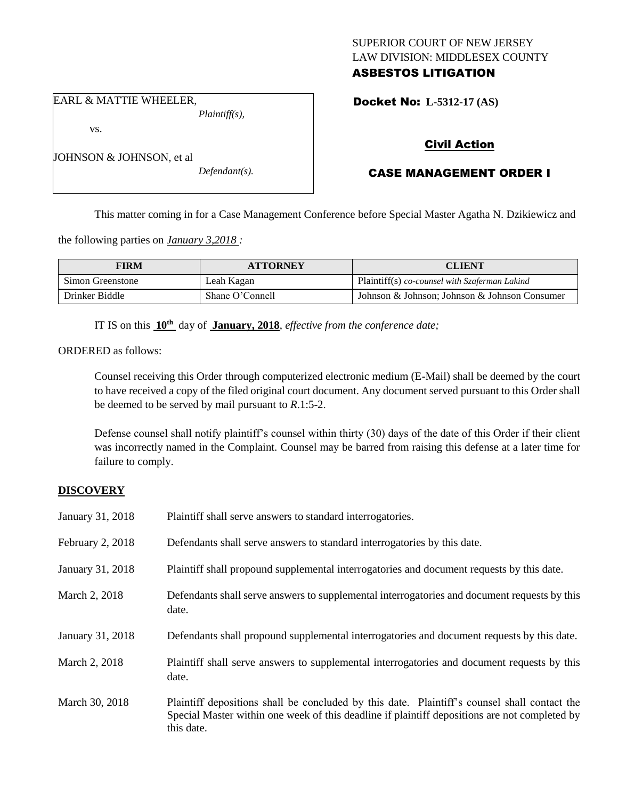# SUPERIOR COURT OF NEW JERSEY LAW DIVISION: MIDDLESEX COUNTY ASBESTOS LITIGATION

Docket No: **L-5312-17 (AS)** 

EARL & MATTIE WHEELER, *Plaintiff(s),*

JOHNSON & JOHNSON, et al

vs.

*Defendant(s).*

Civil Action

# CASE MANAGEMENT ORDER I

This matter coming in for a Case Management Conference before Special Master Agatha N. Dzikiewicz and

the following parties on *January 3,2018 :*

| <b>FIRM</b>      | <b>ATTORNEY</b> | CLIENT                                        |
|------------------|-----------------|-----------------------------------------------|
| Simon Greenstone | Leah Kagan      | Plaintiff(s) co-counsel with Szaferman Lakind |
| Drinker Biddle   | Shane O'Connell | Johnson & Johnson; Johnson & Johnson Consumer |

IT IS on this **10th** day of **January, 2018**, *effective from the conference date;*

ORDERED as follows:

Counsel receiving this Order through computerized electronic medium (E-Mail) shall be deemed by the court to have received a copy of the filed original court document. Any document served pursuant to this Order shall be deemed to be served by mail pursuant to *R*.1:5-2.

Defense counsel shall notify plaintiff's counsel within thirty (30) days of the date of this Order if their client was incorrectly named in the Complaint. Counsel may be barred from raising this defense at a later time for failure to comply.

# **DISCOVERY**

| January 31, 2018 | Plaintiff shall serve answers to standard interrogatories.                                            |
|------------------|-------------------------------------------------------------------------------------------------------|
| February 2, 2018 | Defendants shall serve answers to standard interrogatories by this date.                              |
| January 31, 2018 | Plaintiff shall propound supplemental interrogatories and document requests by this date.             |
| March 2, 2018    | Defendants shall serve answers to supplemental interrogatories and document requests by this<br>date. |
| January 31, 2018 | Defendants shall propound supplemental interrogatories and document requests by this date.            |
|                  |                                                                                                       |
| March 2, 2018    | Plaintiff shall serve answers to supplemental interrogatories and document requests by this<br>date.  |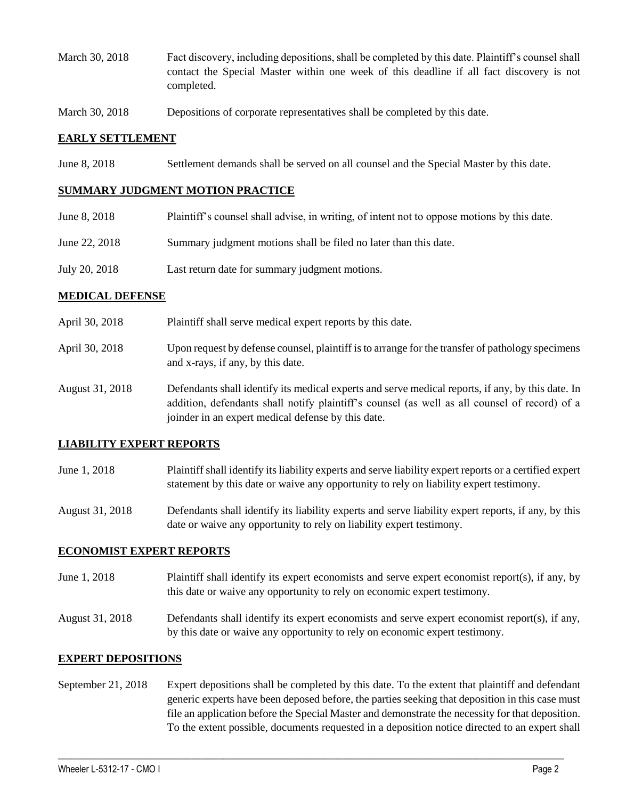- March 30, 2018 Fact discovery, including depositions, shall be completed by this date. Plaintiff's counsel shall contact the Special Master within one week of this deadline if all fact discovery is not completed.
- March 30, 2018 Depositions of corporate representatives shall be completed by this date.

## **EARLY SETTLEMENT**

June 8, 2018 Settlement demands shall be served on all counsel and the Special Master by this date.

#### **SUMMARY JUDGMENT MOTION PRACTICE**

- June 8, 2018 Plaintiff's counsel shall advise, in writing, of intent not to oppose motions by this date.
- June 22, 2018 Summary judgment motions shall be filed no later than this date.
- July 20, 2018 Last return date for summary judgment motions.

## **MEDICAL DEFENSE**

- April 30, 2018 Plaintiff shall serve medical expert reports by this date.
- April 30, 2018 Upon request by defense counsel, plaintiff is to arrange for the transfer of pathology specimens and x-rays, if any, by this date.
- August 31, 2018 Defendants shall identify its medical experts and serve medical reports, if any, by this date. In addition, defendants shall notify plaintiff's counsel (as well as all counsel of record) of a joinder in an expert medical defense by this date.

# **LIABILITY EXPERT REPORTS**

- June 1, 2018 Plaintiff shall identify its liability experts and serve liability expert reports or a certified expert statement by this date or waive any opportunity to rely on liability expert testimony.
- August 31, 2018 Defendants shall identify its liability experts and serve liability expert reports, if any, by this date or waive any opportunity to rely on liability expert testimony.

#### **ECONOMIST EXPERT REPORTS**

- June 1, 2018 Plaintiff shall identify its expert economists and serve expert economist report(s), if any, by this date or waive any opportunity to rely on economic expert testimony.
- August 31, 2018 Defendants shall identify its expert economists and serve expert economist report(s), if any, by this date or waive any opportunity to rely on economic expert testimony.

# **EXPERT DEPOSITIONS**

September 21, 2018 Expert depositions shall be completed by this date. To the extent that plaintiff and defendant generic experts have been deposed before, the parties seeking that deposition in this case must file an application before the Special Master and demonstrate the necessity for that deposition. To the extent possible, documents requested in a deposition notice directed to an expert shall

 $\_$  ,  $\_$  ,  $\_$  ,  $\_$  ,  $\_$  ,  $\_$  ,  $\_$  ,  $\_$  ,  $\_$  ,  $\_$  ,  $\_$  ,  $\_$  ,  $\_$  ,  $\_$  ,  $\_$  ,  $\_$  ,  $\_$  ,  $\_$  ,  $\_$  ,  $\_$  ,  $\_$  ,  $\_$  ,  $\_$  ,  $\_$  ,  $\_$  ,  $\_$  ,  $\_$  ,  $\_$  ,  $\_$  ,  $\_$  ,  $\_$  ,  $\_$  ,  $\_$  ,  $\_$  ,  $\_$  ,  $\_$  ,  $\_$  ,